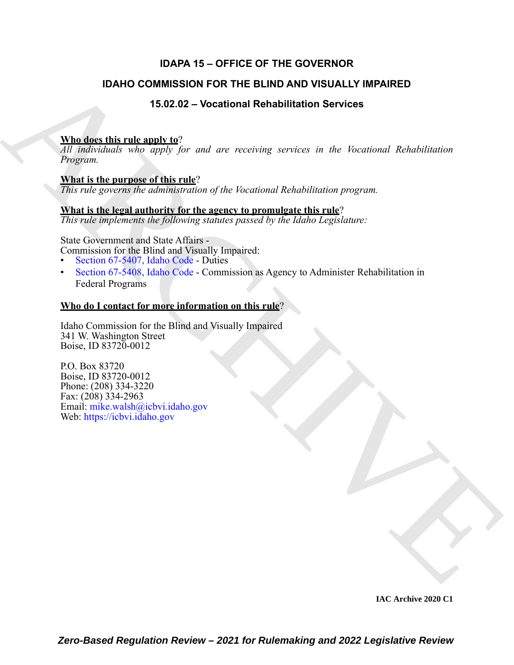#### **IDAPA 15 – OFFICE OF THE GOVERNOR**

#### **IDAHO COMMISSION FOR THE BLIND AND VISUALLY IMPAIRED**

**15.02.02 – Vocational Rehabilitation Services**

#### **Who does this rule apply to**?

*All individuals who apply for and are receiving services in the Vocational Rehabilitation Program.*

#### **What is the purpose of this rule**?

*This rule governs the administration of the Vocational Rehabilitation program.*

#### **What is the legal authority for the agency to promulgate this rule**?

*This rule implements the following statutes passed by the Idaho Legislature:*

State Government and State Affairs -

Commission for the Blind and Visually Impaired:

- Section 67-5407, Idaho Code Duties
- Section 67-5408, Idaho Code Commission as Agency to Administer Rehabilitation in Federal Programs

#### **Who do I contact for more information on this rule**?

Idaho Commission for the Blind and Visually Impaired 341 W. Washington Street Boise, ID 83720-0012

**IDAHO COMMISSION FOR THE BLIND AND VISUALLY IMPAIRED**<br>
15.0.2.2 - Vocational Rehabilitation Services<br>  $\frac{\text{VInd}}{dV}$  is the internal material of the content of the internal material in the internal material properties<br> P.O. Box 83720 Boise, ID 83720-0012 Phone: (208) 334-3220 Fax: (208) 334-2963 Email: mike.walsh@icbvi.idaho.gov Web: https://icbvi.idaho.gov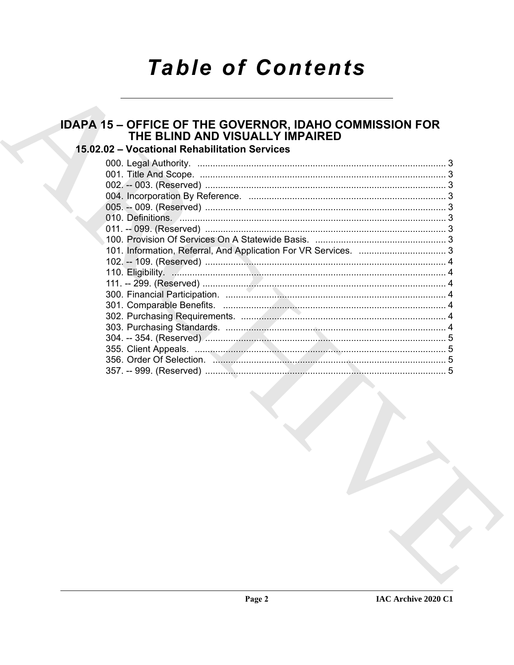## **Table of Contents**

# IDAPA 15 - OFFICE OF THE GOVERNOR, IDAHO COMMISSION FOR<br>THE BLIND AND VISUALLY IMPAIRED

### 15.02.02 - Vocational Rehabilitation Services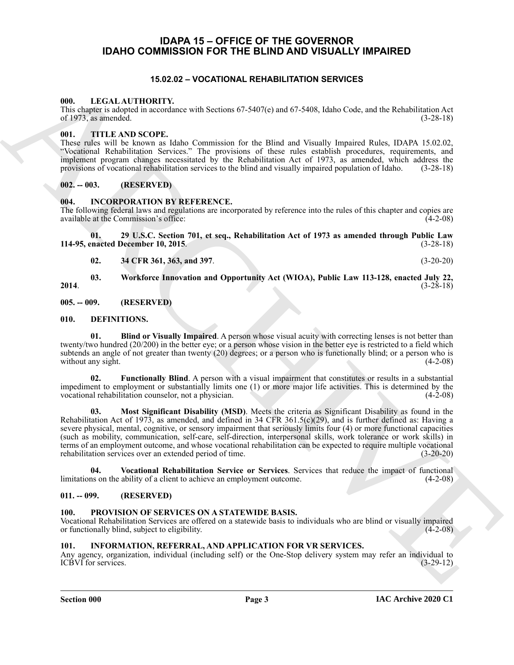#### <span id="page-2-0"></span>**IDAPA 15 – OFFICE OF THE GOVERNOR IDAHO COMMISSION FOR THE BLIND AND VISUALLY IMPAIRED**

#### **15.02.02 – VOCATIONAL REHABILITATION SERVICES**

#### <span id="page-2-18"></span><span id="page-2-2"></span><span id="page-2-1"></span>**000. LEGAL AUTHORITY.**

This chapter is adopted in accordance with Sections 67-5407(e) and 67-5408, Idaho Code, and the Rehabilitation Act of 1973, as amended.  $(3-28-18)$ 

#### <span id="page-2-20"></span><span id="page-2-3"></span>**001. TITLE AND SCOPE.**

These rules will be known as Idaho Commission for the Blind and Visually Impaired Rules, IDAPA 15.02.02, "Vocational Rehabilitation Services." The provisions of these rules establish procedures, requirements, and implement program changes necessitated by the Rehabilitation Act of 1973, as amended, which address the provisions of vocational rehabilitation services to the blind and visually impaired population of Idaho. (3-28-18)

#### <span id="page-2-4"></span>**002. -- 003. (RESERVED)**

#### <span id="page-2-16"></span><span id="page-2-5"></span>**004. INCORPORATION BY REFERENCE.**

The following federal laws and regulations are incorporated by reference into the rules of this chapter and copies are available at the Commission's office: (4-2-08)

**01. 29 U.S.C. Section 701, et seq., Rehabilitation Act of 1973 as amended through Public Law 114-95, enacted December 10, 2015**. (3-28-18)

**02. 34 CFR 361, 363, and 397**. (3-20-20)

**03. Workforce Innovation and Opportunity Act (WIOA), Public Law 113-128, enacted July 22, 2014**. (3-28-18)

<span id="page-2-6"></span>**005. -- 009. (RESERVED)**

#### <span id="page-2-11"></span><span id="page-2-7"></span>**010. DEFINITIONS.**

<span id="page-2-12"></span>**01. Blind or Visually Impaired**. A person whose visual acuity with correcting lenses is not better than twenty/two hundred (20/200) in the better eye; or a person whose vision in the better eye is restricted to a field which subtends an angle of not greater than twenty (20) degrees; or a person who is functionally blind; or a person who is without any sight.  $(4-2-08)$ 

<span id="page-2-14"></span><span id="page-2-13"></span>**02. Functionally Blind**. A person with a visual impairment that constitutes or results in a substantial impediment to employment or substantially limits one (1) or more major life activities. This is determined by the vocational rehabilitation counselor, not a physician. (4-2-08)

69. LEGAL AU 1100011 Y<br>
The Congress algorithm and the Color of SPINIC and 67-5400. Color and the Redeshington Archives and the Redeshington Archives and the Color of SPINIC ATTOM (1) and the Theorem is the Color of SPINI **03. Most Significant Disability (MSD)**. Meets the criteria as Significant Disability as found in the Rehabilitation Act of 1973, as amended, and defined in 34 CFR 361.5(c)(29), and is further defined as: Having a severe physical, mental, cognitive, or sensory impairment that seriously limits four (4) or more functional capacities (such as mobility, communication, self-care, self-direction, interpersonal skills, work tolerance or work skills) in terms of an employment outcome, and whose vocational rehabilitation can be expected to require multiple vocational rehabilitation services over an extended period of time. (3-20-20)

<span id="page-2-15"></span>**04.** Vocational Rehabilitation Service or Services. Services that reduce the impact of functional ms on the ability of a client to achieve an employment outcome. (4-2-08) limitations on the ability of a client to achieve an employment outcome.

#### <span id="page-2-8"></span>**011. -- 099. (RESERVED)**

#### <span id="page-2-19"></span><span id="page-2-9"></span>**100. PROVISION OF SERVICES ON A STATEWIDE BASIS.**

Vocational Rehabilitation Services are offered on a statewide basis to individuals who are blind or visually impaired or functionally blind, subject to eligibility. (4-2-08)

#### <span id="page-2-17"></span><span id="page-2-10"></span>**101. INFORMATION, REFERRAL, AND APPLICATION FOR VR SERVICES.**

Any agency, organization, individual (including self) or the One-Stop delivery system may refer an individual to ICBVI for services. (3-29-12) ICBVI for services.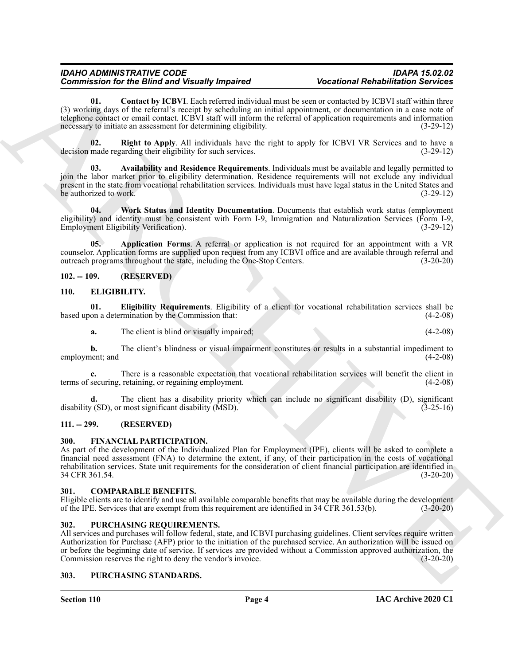#### *IDAHO ADMINISTRATIVE CODE IDAPA 15.02.02 Commission for the Blind and Visually Impaired*

<span id="page-3-13"></span>**01. Contact by ICBVI**. Each referred individual must be seen or contacted by ICBVI staff within three (3) working days of the referral's receipt by scheduling an initial appointment, or documentation in a case note of telephone contact or email contact. ICBVI staff will inform the referral of application requirements and information necessary to initiate an assessment for determining eligibility. (3-29-12)

<span id="page-3-14"></span>**02. Right to Apply**. All individuals have the right to apply for ICBVI VR Services and to have a made regarding their eligibility for such services. (3-29-12) decision made regarding their eligibility for such services.

<span id="page-3-12"></span>**03. Availability and Residence Requirements**. Individuals must be available and legally permitted to join the labor market prior to eligibility determination. Residence requirements will not exclude any individual present in the state from vocational rehabilitation services. Individuals must have legal status in the United States and be authorized to work.  $(3-29-12)$ 

<span id="page-3-15"></span>**04. Work Status and Identity Documentation**. Documents that establish work status (employment eligibility) and identity must be consistent with Form I-9, Immigration and Naturalization Services (Form I-9, Employment Eligibility Verification). (3-29-12) Employment Eligibility Verification).

<span id="page-3-11"></span>**05. Application Forms**. A referral or application is not required for an appointment with a VR counselor. Application forms are supplied upon request from any ICBVI office and are available through referral and outreach programs throughout the state, including the One-Stop Centers. (3-20-20)

#### <span id="page-3-8"></span><span id="page-3-0"></span>**102. -- 109. (RESERVED)**

#### <span id="page-3-1"></span>**110. ELIGIBILITY.**

**01. Eligibility Requirements**. Eligibility of a client for vocational rehabilitation services shall be based upon a determination by the Commission that:

<span id="page-3-9"></span>**a.** The client is blind or visually impaired; (4-2-08)

**b.** The client's blindness or visual impairment constitutes or results in a substantial impediment to employment; and (4-2-08)

**c.** There is a reasonable expectation that vocational rehabilitation services will benefit the client in terms of securing, retaining, or regaining employment. (4-2-08)

**d.** The client has a disability priority which can include no significant disability (D), significant disability (SD), or most significant disability (MSD). (3-25-16)

#### <span id="page-3-2"></span>**111. -- 299. (RESERVED)**

#### <span id="page-3-10"></span><span id="page-3-3"></span>**300. FINANCIAL PARTICIPATION.**

Commission for the Binning from the Hamiltonian Marchives of the control Relation Convertise Commission (A) (2013)<br>
And the control of the control of the control of the control of the control of the control of the control As part of the development of the Individualized Plan for Employment (IPE), clients will be asked to complete a financial need assessment (FNA) to determine the extent, if any, of their participation in the costs of vocational rehabilitation services. State unit requirements for the consideration of client financial participation are identified in 34 CFR 361.54.

#### <span id="page-3-7"></span><span id="page-3-4"></span>**301. COMPARABLE BENEFITS.**

Eligible clients are to identify and use all available comparable benefits that may be available during the development of the IPE. Services that are exempt from this requirement are identified in 34 CFR 361.53(b). (3-20-20)

#### <span id="page-3-16"></span><span id="page-3-5"></span>**302. PURCHASING REQUIREMENTS.**

All services and purchases will follow federal, state, and ICBVI purchasing guidelines. Client services require written Authorization for Purchase (AFP) prior to the initiation of the purchased service. An authorization will be issued on or before the beginning date of service. If services are provided without a Commission approved authorization, the Commission reserves the right to deny the vendor's invoice. (3-20-20)

#### <span id="page-3-17"></span><span id="page-3-6"></span>**303. PURCHASING STANDARDS.**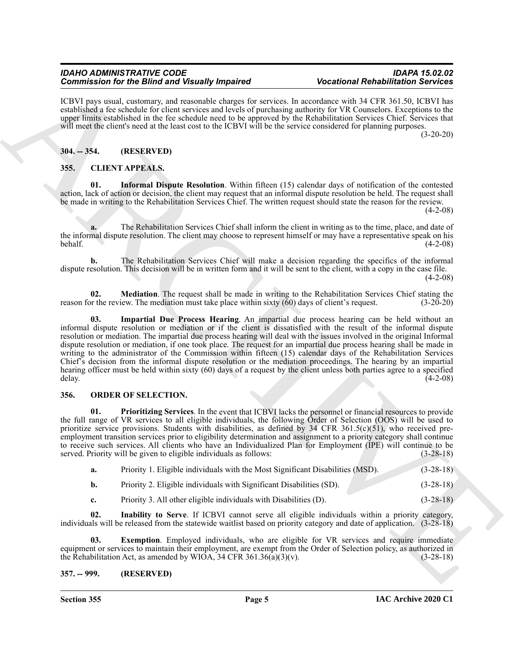#### *IDAHO ADMINISTRATIVE CODE IDAPA 15.02.02 Commission for the Blind and Visually Impaired*

ICBVI pays usual, customary, and reasonable charges for services. In accordance with 34 CFR 361.50, ICBVI has established a fee schedule for client services and levels of purchasing authority for VR Counselors. Exceptions to the upper limits established in the fee schedule need to be approved by the Rehabilitation Services Chief. Services that will meet the client's need at the least cost to the ICBVI will be the service considered for planning purposes.

(3-20-20)

#### <span id="page-4-0"></span>**304. -- 354. (RESERVED)**

#### <span id="page-4-4"></span><span id="page-4-1"></span>**355. CLIENT APPEALS.**

<span id="page-4-6"></span>**01. Informal Dispute Resolution**. Within fifteen (15) calendar days of notification of the contested action, lack of action or decision, the client may request that an informal dispute resolution be held. The request shall be made in writing to the Rehabilitation Services Chief. The written request should state the reason for the review.

 $(4-2-08)$ 

**a.** The Rehabilitation Services Chief shall inform the client in writing as to the time, place, and date of the informal dispute resolution. The client may choose to represent himself or may have a representative speak on his behalf. (4-2-08)

**b.** The Rehabilitation Services Chief will make a decision regarding the specifics of the informal dispute resolution. This decision will be in written form and it will be sent to the client, with a copy in the case file.  $(4-2-08)$ 

<span id="page-4-7"></span><span id="page-4-5"></span>**02. Mediation**. The request shall be made in writing to the Rehabilitation Services Chief stating the reason for the review. The mediation must take place within sixty  $(60)$  days of client's request.  $(3-20-20)$ 

ARCHIVE **03. Impartial Due Process Hearing**. An impartial due process hearing can be held without an informal dispute resolution or mediation or if the client is dissatisfied with the result of the informal dispute resolution or mediation. The impartial due process hearing will deal with the issues involved in the original Informal dispute resolution or mediation, if one took place. The request for an impartial due process hearing shall be made in writing to the administrator of the Commission within fifteen (15) calendar days of the Rehabilitation Services Chief's decision from the informal dispute resolution or the mediation proceedings. The hearing by an impartial hearing officer must be held within sixty (60) days of a request by the client unless both parties agree to a specified delay.  $(4-2-08)$ 

#### <span id="page-4-8"></span><span id="page-4-2"></span>**356. ORDER OF SELECTION.**

<span id="page-4-11"></span>**01. Prioritizing Services**. In the event that ICBVI lacks the personnel or financial resources to provide the full range of VR services to all eligible individuals, the following Order of Selection (OOS) will be used to prioritize service provisions. Students with disabilities, as defined by  $34$  CFR  $361.5(c)(51)$ , who received preemployment transition services prior to eligibility determination and assignment to a priority category shall continue to receive such services. All clients who have an Individualized Plan for Employment (IPE) will continue to be served. Priority will be given to eligible individuals as follows: (3-28-18)

- **a.** Priority 1. Eligible individuals with the Most Significant Disabilities (MSD). (3-28-18)
- **b.** Priority 2. Eligible individuals with Significant Disabilities (SD). (3-28-18)
- <span id="page-4-10"></span><span id="page-4-9"></span>**c.** Priority 3. All other eligible individuals with Disabilities (D). (3-28-18)

**02. Inability to Serve**. If ICBVI cannot serve all eligible individuals within a priority category, individuals will be released from the statewide waitlist based on priority category and date of application.  $(3-2\overline{8}-18)$ 

**03. Exemption**. Employed individuals, who are eligible for VR services and require immediate equipment or services to maintain their employment, are exempt from the Order of Selection policy, as authorized in the Rehabilitation Act, as amended by WIOA, 34 CFR 361.36(a)(3)(v). (3-28-18)

#### <span id="page-4-3"></span>**357. -- 999. (RESERVED)**